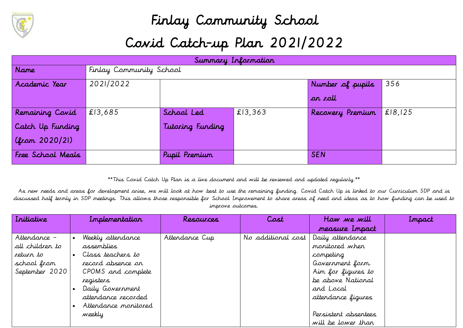

## Finlay Community School Covid Catch-up Plan 2021/2022

| Summary Information |           |                         |         |                  |         |  |  |
|---------------------|-----------|-------------------------|---------|------------------|---------|--|--|
| <b>Name</b>         |           | Finlay Community School |         |                  |         |  |  |
| Academic Year       | 2021/2022 |                         |         | Number of pupils | 356     |  |  |
|                     |           |                         |         | or roll          |         |  |  |
| Remaining Covid     | £13,685   | School Led              | £13,363 | Recovery Premium | £18,125 |  |  |
| Catch Up Funding    |           | Tutoring Funding        |         |                  |         |  |  |
| (from 2020/21)      |           |                         |         |                  |         |  |  |
| Free School Meals   |           | Pupil Premium           |         | <b>SEN</b>       |         |  |  |

\*\*This Covid Catch Up Plan is a live document and will be reviewed and updated regularly.\*\*

As new needs and areas for development arise, we will look at how best to use the remaining funding. Covid Catch Up is linked to our Curriculum SDP and is discussed half termly in SDP meetings. This allows those responsible for School Improvement to share areas of need and ideas as to how funding can be used to improve outcomes.

| Initiative      | Implementation       | Resources      | Cost               | How we will          | Impact |
|-----------------|----------------------|----------------|--------------------|----------------------|--------|
|                 |                      |                |                    | measure Impact       |        |
| Attendance –    | Weekly attendance    | Attendance Cup | No additional cost | Daily attendance     |        |
| all children to | assemblies           |                |                    | monitored when       |        |
| return to       | Class teachers to    |                |                    | competing            |        |
| school from     | record absence on    |                |                    | Government form.     |        |
| September 2020  | CPOMS and complete   |                |                    | Aim for figures to   |        |
|                 | registers            |                |                    | be above National    |        |
|                 | Daily Government     |                |                    | and Local            |        |
|                 | attendance recorded  |                |                    | attendance figures   |        |
|                 | Attendance monitored |                |                    |                      |        |
|                 | weekly               |                |                    | Persistent absentees |        |
|                 |                      |                |                    | will be lower than   |        |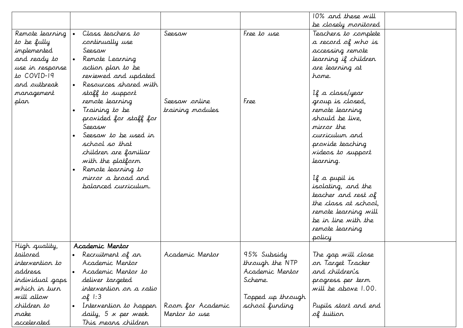|                 |                             |                   |                   | 10% and these will   |  |
|-----------------|-----------------------------|-------------------|-------------------|----------------------|--|
|                 |                             |                   |                   | be closely monitored |  |
| Remote learning | Class teachers to           | Seesaw            | Free to use       | Teachers to complete |  |
| to be fully     | continually use             |                   |                   | a record of who is   |  |
| implemented     | Seesaw                      |                   |                   | accessing remote     |  |
| and ready to    | Remote Learning             |                   |                   | learning if children |  |
| use in response | action plan to be           |                   |                   | are learning at      |  |
| to COVID-19     | reviewed and updated        |                   |                   | hame.                |  |
| and outbreak    | Resources shared with       |                   |                   |                      |  |
| management      | staff to support            |                   |                   | If a class/year      |  |
| plan            | remote learning             | Seesaw orline     | Free              | group is closed,     |  |
|                 | Training to be              | training modules  |                   | remote learning      |  |
|                 | provided for staff for      |                   |                   | should be live,      |  |
|                 | Seeasw                      |                   |                   | mirror the           |  |
|                 | Seesaw to be used in        |                   |                   | curriculum and       |  |
|                 | school so that              |                   |                   | provide teaching     |  |
|                 | children are familiar       |                   |                   | videos to support    |  |
|                 | with the platform           |                   |                   | learning.            |  |
|                 | Remote learning to          |                   |                   |                      |  |
|                 | mirror a broad and          |                   |                   | If a pupil is        |  |
|                 | balanced curriculum.        |                   |                   | isolating, and the   |  |
|                 |                             |                   |                   | teacher and rest of  |  |
|                 |                             |                   |                   | the class at school, |  |
|                 |                             |                   |                   | remote learning will |  |
|                 |                             |                   |                   | be in line with the  |  |
|                 |                             |                   |                   | remote learning      |  |
|                 |                             |                   |                   | policy               |  |
| High quality,   | Academic Mentor             |                   |                   |                      |  |
| tailored        | Recruitment of an           | Academic Mentor   | 95% Subsidy       | The gap will close   |  |
| intervention to | Academic Mentor             |                   | through the NTP   | on Target Tracker    |  |
| address         | Academic Mentor to          |                   | Academic Mentor   | and children's       |  |
| individual gaps | deliver targeted            |                   | Scheme.           | progress per term    |  |
| which in turn   | intervention on a ratio     |                   |                   | will be above 1.00.  |  |
| will allow      | $\mathcal{A}$ 1:3           |                   | Topped up through |                      |  |
| children to     | Intervention to happen      | Room for Academic | school funding    | Pupils start and end |  |
| make            | daily, $5 \times$ per week. | Mentor to use     |                   | of tuition           |  |
| accelerated     | This means children         |                   |                   |                      |  |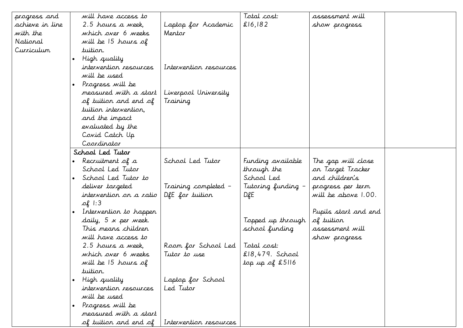| progress and    | will have access to                 |                        | Total cost:        | assessment will      |  |
|-----------------|-------------------------------------|------------------------|--------------------|----------------------|--|
| achieve in line | 2.5 hours a week,                   | Laptop for Academic    | £16,182            | show progress        |  |
| with the        | which over 6 weeks                  | Mentor                 |                    |                      |  |
| National        | will be 15 hours of                 |                        |                    |                      |  |
| Curriculum      | tuition.                            |                        |                    |                      |  |
|                 | High quality<br>$\bullet$           |                        |                    |                      |  |
|                 | intervention resources              | Intervention resources |                    |                      |  |
|                 | will be used                        |                        |                    |                      |  |
|                 | Progress will be<br>$\bullet$       |                        |                    |                      |  |
|                 | measured with a start               | Liverpool University   |                    |                      |  |
|                 | of tuition and end of               | Training               |                    |                      |  |
|                 | tuition intervention,               |                        |                    |                      |  |
|                 | and the impact                      |                        |                    |                      |  |
|                 | evaluated by the                    |                        |                    |                      |  |
|                 | Covid Catch Up                      |                        |                    |                      |  |
|                 | Coordinator                         |                        |                    |                      |  |
|                 | School Led Tutor                    |                        |                    |                      |  |
|                 | Recruitment of a                    | School Led Tutor       | Funding available  | The gap will close   |  |
|                 | School Led Tutor                    |                        | through the        | on Target Tracker    |  |
|                 | School Led Tutor to                 |                        | School Led         | and children's       |  |
|                 | deliver targeted                    | Training completed -   | Tutoring funding – | progress per term    |  |
|                 | intervention on a ratio             | DfE for tuition        | D.RE               | will be above 1.00.  |  |
|                 | $\mathcal{A}$ 1:3                   |                        |                    |                      |  |
|                 | Intervention to happen<br>$\bullet$ |                        |                    | Pupils start and end |  |
|                 | daily, 5 x per week.                |                        | Topped up through  | of tuition           |  |
|                 | This means children                 |                        | school funding     | assessment will      |  |
|                 | will have access to                 |                        |                    | show progress        |  |
|                 | 2.5 hours a week,                   | Room for School Led    | Total cost:        |                      |  |
|                 | which over 6 weeks                  | Tutor to use           | $£18,479.$ School  |                      |  |
|                 | will be 15 hours of                 |                        | top up of £5116    |                      |  |
|                 | tuition.                            |                        |                    |                      |  |
|                 | High quality<br>$\bullet$           | Laptop for School      |                    |                      |  |
|                 | intervention resources              | Led Tutor              |                    |                      |  |
|                 | will be used                        |                        |                    |                      |  |
|                 | Progress will be<br>$\bullet$       |                        |                    |                      |  |
|                 | measured with a start               |                        |                    |                      |  |
|                 | of tuition and end of               | Intervention resources |                    |                      |  |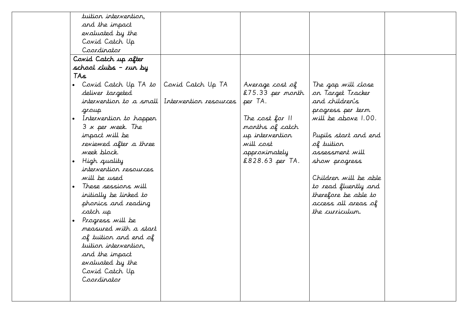| tuition intervention.                                                                                                                                                                                                                                                                                                                                                                    |                                             |                                                                                                                                                            |                                                                                                                                                                                                                                                                                                    |  |
|------------------------------------------------------------------------------------------------------------------------------------------------------------------------------------------------------------------------------------------------------------------------------------------------------------------------------------------------------------------------------------------|---------------------------------------------|------------------------------------------------------------------------------------------------------------------------------------------------------------|----------------------------------------------------------------------------------------------------------------------------------------------------------------------------------------------------------------------------------------------------------------------------------------------------|--|
| and the impact                                                                                                                                                                                                                                                                                                                                                                           |                                             |                                                                                                                                                            |                                                                                                                                                                                                                                                                                                    |  |
| evaluated by the                                                                                                                                                                                                                                                                                                                                                                         |                                             |                                                                                                                                                            |                                                                                                                                                                                                                                                                                                    |  |
| Covid Catch Up                                                                                                                                                                                                                                                                                                                                                                           |                                             |                                                                                                                                                            |                                                                                                                                                                                                                                                                                                    |  |
| Coordinator                                                                                                                                                                                                                                                                                                                                                                              |                                             |                                                                                                                                                            |                                                                                                                                                                                                                                                                                                    |  |
| Covid Catch up after                                                                                                                                                                                                                                                                                                                                                                     |                                             |                                                                                                                                                            |                                                                                                                                                                                                                                                                                                    |  |
| school clubs – run by                                                                                                                                                                                                                                                                                                                                                                    |                                             |                                                                                                                                                            |                                                                                                                                                                                                                                                                                                    |  |
| TAs                                                                                                                                                                                                                                                                                                                                                                                      |                                             |                                                                                                                                                            |                                                                                                                                                                                                                                                                                                    |  |
| Covid Catch Up TA to<br>$\bullet$<br>deliver targeted<br>intervention to a small<br>group<br>Intervention to happen<br>$\bullet$<br>3 x per week. The<br>impact will be<br>reviewed after a three<br>week block.<br>High quality<br>$\bullet$<br>intervention resources<br>will be used<br>These sessions will<br>$\bullet$<br>initially be linked to<br>phonics and reading<br>catch up | Covid Catch Up TA<br>Intervention resources | Average cost of<br>$£75.33$ per month<br>per TA.<br>The cost for II<br>months of catch<br>up intervention<br>will cost<br>approximately<br>£828.63 per TA. | The gap will close<br>on Target Tracker<br>and children's<br>progress per term<br>will be above 1.00.<br>Pupils start and end<br>of tuition<br>assessment will<br>show progress<br>Children will be able<br>to read fluently and<br>therefore be able to<br>access all areas of<br>the curriculum. |  |
| Progress will be<br>$\bullet$<br>measured with a start<br>of tuition and end of<br>tuition intervention,<br>and the impact<br>evaluated by the<br>Covid Catch Up<br>Coordinator                                                                                                                                                                                                          |                                             |                                                                                                                                                            |                                                                                                                                                                                                                                                                                                    |  |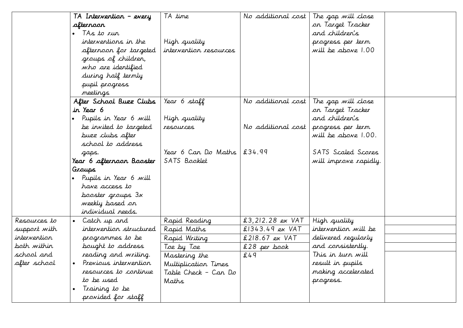|              | TA Intervention – every   | TA time                | No additional cost | The gap will close    |  |
|--------------|---------------------------|------------------------|--------------------|-----------------------|--|
|              | afterroon                 |                        |                    | on Target Tracker     |  |
|              | TAs to run                |                        |                    | and children's        |  |
|              | interventions in the      | High quality           |                    | progress per term     |  |
|              | afternoon for targeted    | intervention resources |                    | will be above 1.00    |  |
|              | groups of children,       |                        |                    |                       |  |
|              | who are identified        |                        |                    |                       |  |
|              | during half termly        |                        |                    |                       |  |
|              | pupil progress            |                        |                    |                       |  |
|              | meetings                  |                        |                    |                       |  |
|              | After School Buzz Clubs   | Year 6 staff           | No additional cost | The gap will close    |  |
|              | in Year 6                 |                        |                    | on Target Tracker     |  |
|              | Pupils in Year 6 will     | High quality           |                    | and children's        |  |
|              | be invited to targeted    | resources              | No additional cost | progress per term     |  |
|              | buzz clubs after          |                        |                    | will be above 1.00.   |  |
|              | school to address         |                        |                    |                       |  |
|              | gaps.                     | Year 6 Can Do Maths    | £34.99             | SATS Scaled Scores    |  |
|              | Year 6 afternoon Booster  | SATS Booklet           |                    | will improve rapidly. |  |
|              | Graups                    |                        |                    |                       |  |
|              | Pupils in Year 6 will     |                        |                    |                       |  |
|              | have access to            |                        |                    |                       |  |
|              | booster groups 3x         |                        |                    |                       |  |
|              | weekly based on           |                        |                    |                       |  |
|              | individual needs.         |                        |                    |                       |  |
| Resources to | Catch up and<br>$\bullet$ | Rapid Reading          | £3,212.28 ex VAT   | High quality          |  |
| support with | intervention structured   | Rapid Maths            | $$1343.49 ex$ VAT  | intervention will be  |  |
| intervention | programmes to be          | Rapid Writing          | $£218.67$ ex VAT   | delivered regularly   |  |
| both within  | bought to address         | Toe by Toe             | £28 per book       | and consistently.     |  |
| school and   | reading and writing.      | Mastering the          | £49                | This in turn will     |  |
| after school | Previous intervention     | Multiplication Times   |                    | result in pupils      |  |
|              | resources to continue     | Table Check – Can Do   |                    | making accelerated    |  |
|              | to be used                | Maths                  |                    | progress.             |  |
|              | Training to be            |                        |                    |                       |  |
|              | provided for staff        |                        |                    |                       |  |